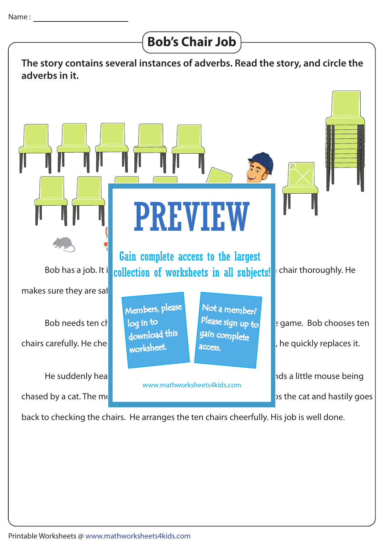

back to checking the chairs. He arranges the ten chairs cheerfully. His job is well done.